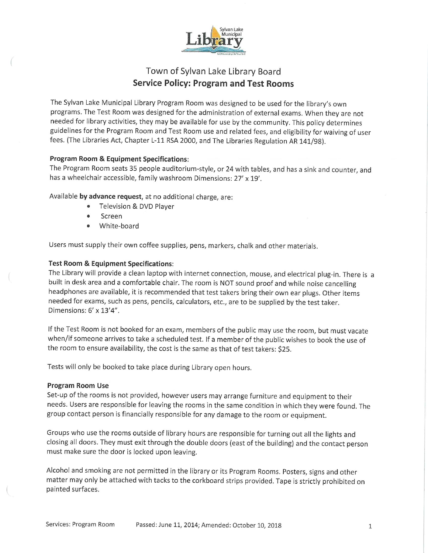

# Town of Sylvan Lake Library Board Service Policy: Program and Test Rooms

The Sylvan Lake Municipal Library Program Room was designed to be used for the library's own programs. The Test Room was designed for the administration of external exams. When they are not needed for library activities, they may be available for use by the community. This policy determines guidelines for the Program Room and Test Room use and related fees, and eligibility for waiving of user fees. (The Libraries Act, Chapter L-11 RSA 2000, and The Libraries Regulation AR 141/98).

# Program Room & Equipment Specifications:

The Program Room seats 35 people auditorium-style, or 24 with tables, and has a sink and counter, and has a wheelchair accessible, family washroom Dimensions: 27" x 19'.

Available by advance request, at no additional charge, are:

- Television & DVD Player
- **Screen**
- White-board

Users must supply their own coffee supplies, pens, markers, chalk and other materials.

# Test Room & Equipment Specifications.

The Library will provide a clean laptop with internet connection, mouse, and electrical plug-in. There is a built in desk area and a comfortable chair. The room is NOT sound proof and while noise cancelling headphones are available, it is recommended that test takers bring their own ear plugs. Other items needed for exams, such as pens, pencils, calculators, etc., are to be supplied by the test taker. Dimensions: 6' x 13'4".

If the Test Room is not booked for an exam, members of the public may use the room, but must vacate when/if someone arrives to take a scheduled test. If a member of the public wishes to book the use of the room to ensure availability, the cost is the same as that of test takers: \$25.

Tests will only be booked to take place during Library open hours.

### Program Room Use

Set-up of the rooms is not provided, however users may arrange furniture and equipment to their needs. Users are responsible for leaving the rooms in the same condition in which they were found. The group contact person is financially responsible for any damage to the room or equipment.

Groups who use the rooms outside of library hours are responsible for turning out all the lights and closing all doors. They must exit through the double doors (east of the building) and the contact person must make sure the door is locked upon leaving.

Alcohol and smoking are not permitted in the library or its Program Rooms. Posters, signs and other matter may only be attached with tacks to the corkboard strips provided. Tape is strictly prohibited on painted surfaces.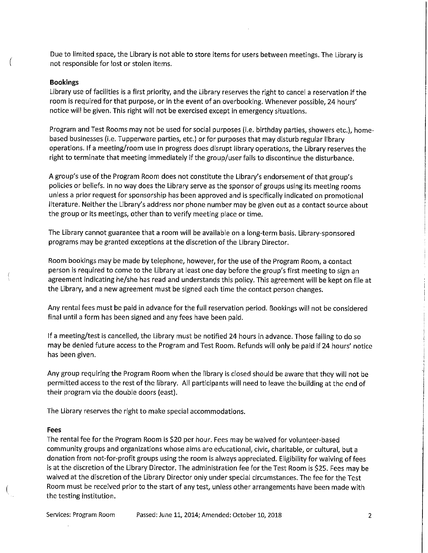Due to limited space, the Library is not able to store items for users between meetings. The Library is not responsible for lost or stolen items.

#### Bookings

Library use of facilities is a first priority, and the Library reserves the right to cancel a reservation if the room is required for that purpose, or in the event of an overbooking. Whenever possible, 24 hours" notice will be given. This right will not be exercised except in emergency situations.

Program and Test Rooms may not be used for social purposes (i.e. birthday parties, showers etc.), homebased businesses (i.e. Tupperware parties, etc.) or for purposes that may disturb regular library operations. If a meeting/room use in progress does disrupt library operations, the Library reserves the right to terminate that meeting immediately if the group/user fails to discontinue the disturbance.

A group's use of the Program Room does not constitute the Library's endorsement of that group"s policies or beliefs. In no way does the Library serve as the sponsor of groups using its meeting rooms unless a prior request for sponsorship has been approved and is specifically indicated on promotional literature. Neither the Library's address nor phone number may be given out as a contact source about the group or its meetings, other than to verify meeting place or time.

The Library cannot guarantee that a room will be available on a long-term basis. Library-sponsored programs may be granted exceptions at the discretion of the Library Director.

Room bookings may be made by telephone, however, for the use of the Program Room, a contact person is required to come to the Library at least one day before the group's first meeting to sign an agreement indicating he/she has read and understands this policy. This agreement will be kept on file at the Library, and a new agreement must be signed each time the contact person changes.

Any rental fees must be paid in advance for the full reservation period. Bookings will not be considered final until a form has been signed and any fees have been paid.

If a meeting/test is cancelled, the Library must be notified 24 hours in advance. Those failing to do so may be denied future access to the Program and Test Room. Refunds will only be paid if 24 hours' notice has been given.

Any group requiring the Program Room when the library is closed should be aware that they will not be permitted access to the rest of the library. All participants will need to leave the building at the end of their program via the double doors (east).

The Library reserves the right to make special accommodations.

#### Fees

The rental fee for the Program Room is S20 per hour. Fees may be waived for volunteer-based community groups and organizations whose aims are educational, civic, charitable, or cultural, but a donation from not-for-profit groups using the room is always appreciated. Eligibility for waiving of fees is at the discretion of the Library Director. The administration fee for the Test Room is S25. Fees may be waived at the discretion of the Library Director only under special circumstances. The fee for the Test Room must be received prior to the start of any test, unless other arrangements have been made with the testing institution.